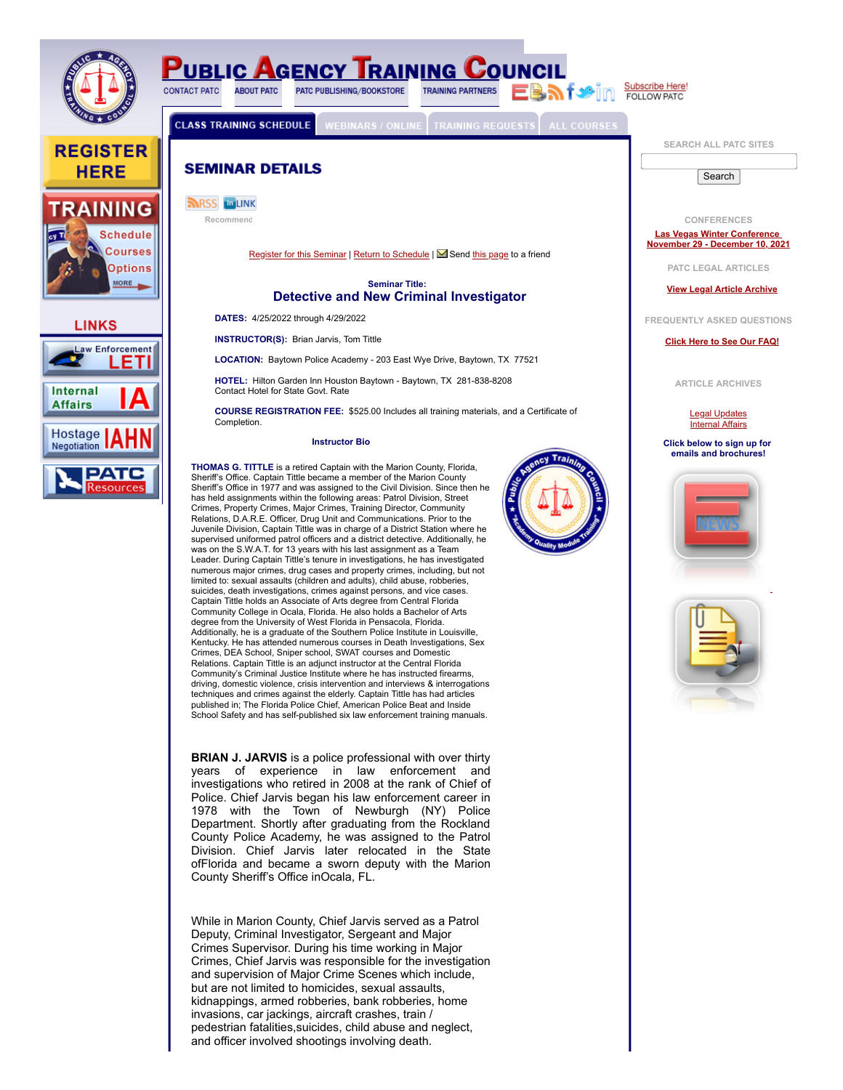![](_page_0_Picture_0.jpeg)

years of experience in law enforcement and investigations who retired in 2008 at the rank of Chief of Police. Chief Jarvis began his law enforcement career in 1978 with the Town of Newburgh (NY) Police Department. Shortly after graduating from the Rockland County Police Academy, he was assigned to the Patrol Division. Chief Jarvis later relocated in the State ofFlorida and became a sworn deputy with the Marion County Sheriff's Office inOcala, FL.

While in Marion County, Chief Jarvis served as a Patrol Deputy, Criminal Investigator, Sergeant and Major Crimes Supervisor. During his time working in Major Crimes, Chief Jarvis was responsible for the investigation and supervision of Major Crime Scenes which include, but are not limited to homicides, sexual assaults, kidnappings, armed robberies, bank robberies, home invasions, car jackings, aircraft crashes, train / pedestrian fatalities,suicides, child abuse and neglect, and officer involved shootings involving death.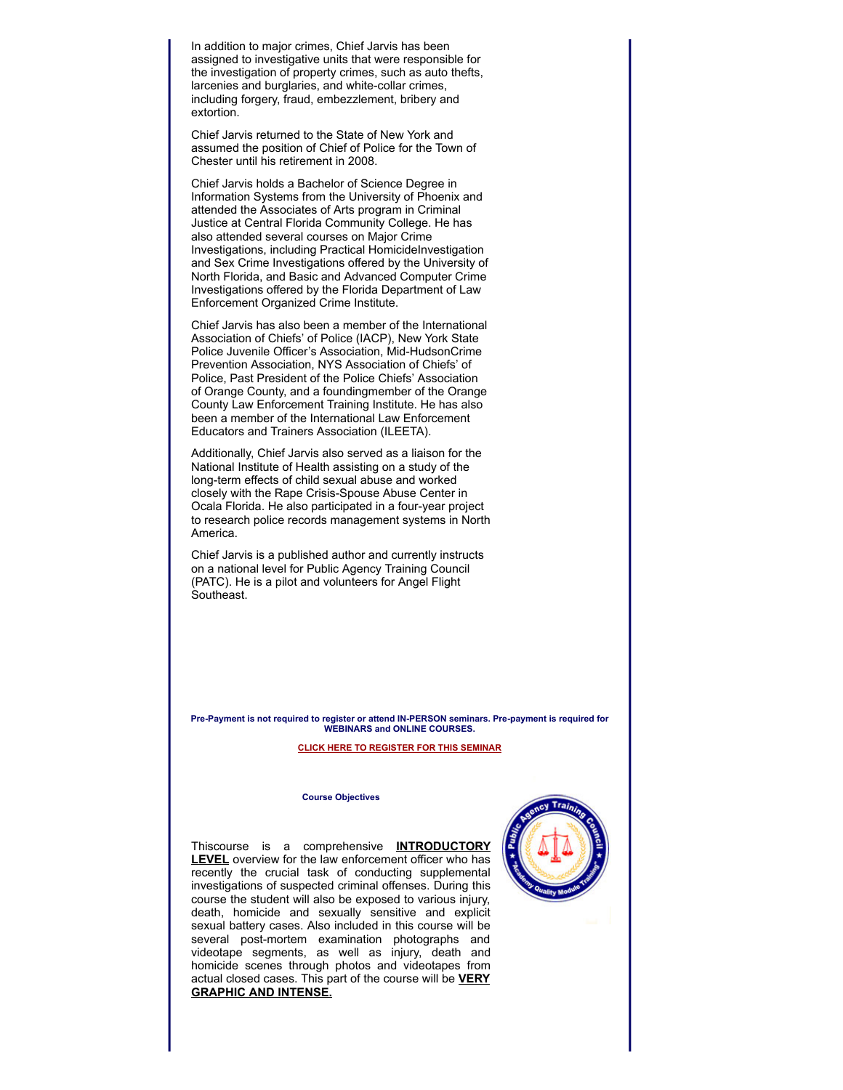In addition to major crimes, Chief Jarvis has been assigned to investigative units that were responsible for the investigation of property crimes, such as auto thefts, larcenies and burglaries, and white-collar crimes, including forgery, fraud, embezzlement, bribery and extortion.

Chief Jarvis returned to the State of New York and assumed the position of Chief of Police for the Town of Chester until his retirement in 2008.

Chief Jarvis holds a Bachelor of Science Degree in Information Systems from the University of Phoenix and attended the Associates of Arts program in Criminal Justice at Central Florida Community College. He has also attended several courses on Major Crime Investigations, including Practical HomicideInvestigation and Sex Crime Investigations offered by the University of North Florida, and Basic and Advanced Computer Crime Investigations offered by the Florida Department of Law Enforcement Organized Crime Institute.

Chief Jarvis has also been a member of the International Association of Chiefs' of Police (IACP), New York State Police Juvenile Officer's Association, Mid-HudsonCrime Prevention Association, NYS Association of Chiefs' of Police, Past President of the Police Chiefs' Association of Orange County, and a foundingmember of the Orange County Law Enforcement Training Institute. He has also been a member of the International Law Enforcement Educators and Trainers Association (ILEETA).

Additionally, Chief Jarvis also served as a liaison for the National Institute of Health assisting on a study of the long-term effects of child sexual abuse and worked closely with the Rape Crisis-Spouse Abuse Center in Ocala Florida. He also participated in a four-year project to research police records management systems in North America.

Chief Jarvis is a published author and currently instructs on a national level for Public Agency Training Council (PATC). He is a pilot and volunteers for Angel Flight Southeast.

**Pre-Payment is not required to register or attend IN-PERSON seminars. Pre-payment is required for WEBINARS and ONLINE COURSES.**

### **[CLICK HERE TO REGISTER FOR THIS SEMINAR](https://www.patc.com/training/register.php?ID=18531)**

#### **Course Objectives**

Thiscourse is a comprehensive **INTRODUCTORY LEVEL** overview for the law enforcement officer who has recently the crucial task of conducting supplemental investigations of suspected criminal offenses. During this course the student will also be exposed to various injury, death, homicide and sexually sensitive and explicit sexual battery cases. Also included in this course will be several post-mortem examination photographs and videotape segments, as well as injury, death and homicide scenes through photos and videotapes from actual closed cases. This part of the course will be **VERY GRAPHIC AND INTENSE.**

![](_page_1_Picture_10.jpeg)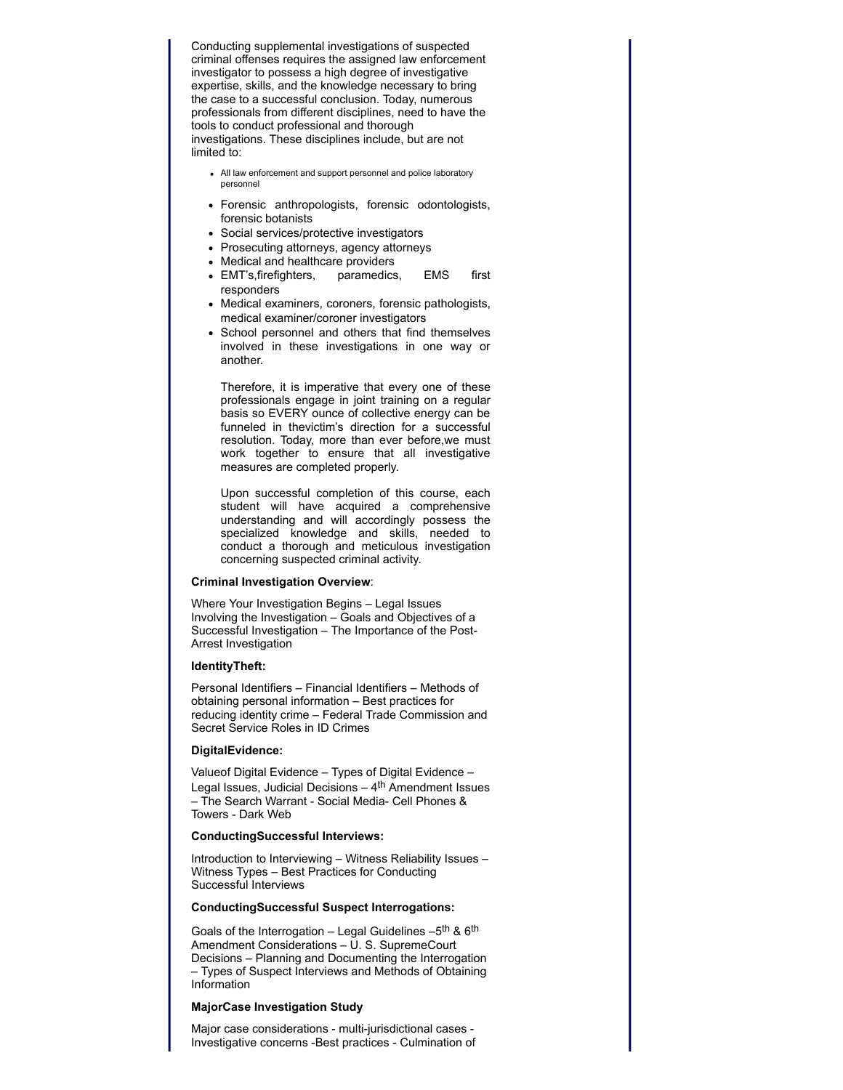Conducting supplemental investigations of suspected criminal offenses requires the assigned law enforcement investigator to possess a high degree of investigative expertise, skills, and the knowledge necessary to bring the case to a successful conclusion. Today, numerous professionals from different disciplines, need to have the tools to conduct professional and thorough investigations. These disciplines include, but are not limited to:

- All law enforcement and support personnel and police laboratory personnel
- Forensic anthropologists, forensic odontologists, forensic botanists
- Social services/protective investigators
- Prosecuting attorneys, agency attorneys
- Medical and healthcare providers
- EMT's,firefighters, paramedics, EMS first responders
- Medical examiners, coroners, forensic pathologists, medical examiner/coroner investigators
- School personnel and others that find themselves involved in these investigations in one way or another.

Therefore, it is imperative that every one of these professionals engage in joint training on a regular basis so EVERY ounce of collective energy can be funneled in thevictim's direction for a successful resolution. Today, more than ever before,we must work together to ensure that all investigative measures are completed properly.

Upon successful completion of this course, each student will have acquired a comprehensive understanding and will accordingly possess the specialized knowledge and skills, needed to conduct a thorough and meticulous investigation concerning suspected criminal activity.

### **Criminal Investigation Overview**:

Where Your Investigation Begins – Legal Issues Involving the Investigation – Goals and Objectives of a Successful Investigation – The Importance of the Post-Arrest Investigation

## **IdentityTheft:**

Personal Identifiers – Financial Identifiers – Methods of obtaining personal information – Best practices for reducing identity crime – Federal Trade Commission and Secret Service Roles in ID Crimes

### **DigitalEvidence:**

Valueof Digital Evidence – Types of Digital Evidence – Legal Issues, Judicial Decisions  $-4$ <sup>th</sup> Amendment Issues – The Search Warrant - Social Media- Cell Phones & Towers - Dark Web

### **ConductingSuccessful Interviews:**

Introduction to Interviewing – Witness Reliability Issues – Witness Types – Best Practices for Conducting Successful Interviews

### **ConductingSuccessful Suspect Interrogations:**

Goals of the Interrogation – Legal Guidelines  $-5$ <sup>th</sup> &  $6$ <sup>th</sup> Amendment Considerations – U. S. SupremeCourt Decisions – Planning and Documenting the Interrogation – Types of Suspect Interviews and Methods of Obtaining Information

### **MajorCase Investigation Study**

Major case considerations - multi-jurisdictional cases - Investigative concerns -Best practices - Culmination of